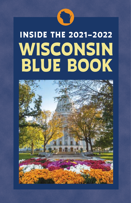

# **WISCONSIN BLUE BOOK INSIDE THE 2021–2022**

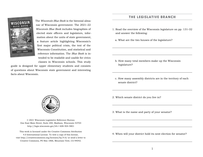

The *Wisconsin Blue Book* is the biennial almanac of Wisconsin government. The 2021–22 *Wisconsin Blue Book* includes biographies of elected state officers and legislators, information about the units of state government, a feature article highlighting Wisconsin's first major political crisis, the text of the Wisconsin Constitution, and statistical and reference information. The *Blue Book* is intended to be readable and usable for civics classes in Wisconsin schools. This study

guide is designed for upper elementary students and consists of questions about Wisconsin state government and interesting facts about Wisconsin.

## **THE LEGISLATIVE BRANCH**

- 1. Read the overview of the Wisconsin legislature on pp. 131–32 and answer the following:
	- a. What are the two houses of the legislature?

- b. How many total members make up the Wisconsin legislature?
- c. How many assembly districts are in the territory of each senate district?
- 2. Which senate district do you live in?
- 3. What is the name and party of your senator?

4. When will your district hold its next election for senator?



© 2021 Wisconsin Legislative Reference Bureau One East Main Street, Suite 200, Madison, Wisconsin 53703 http://legis.wisconsin.gov/lrb • 608-504-5801

This work is licensed under the Creative Commons Attribution 4.0 International License. To view a copy of this license, visit http://creativecommons.org/licenses/by/4.0/ or send a letter to Creative Commons, PO Box 1866, Mountain View, CA 94042.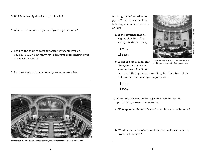- 5. Which assembly district do you live in?
- 6. What is the name and party of your representative?

- 7. Look at the table of votes for state representatives on pp. 581–85. By how many votes did your representative win in the last election?
- 8. List two ways you can contact your representative.



There are 99 members of the state assembly, and they are elected for two-year terms.

9. Using the information on pp. 137–42, determine if the following statements are true or false:

a. If the governor fails to sign a bill within five days, it is thrown away.

 $\Box$  True

 $\Box$  False

b. A bill or part of a bill that the governor has vetoed can become a law if both



There are 33 members of the state senate, and they are elected for four-year terms.

houses of the legislature pass it again with a two-thirds vote, rather than a simple majority vote.

 $\Box$  True

 $\Box$  False

- 10. Using the information on legislative committees on pp. 133–35, answer the following:
	- a. Who appoints the members of committees in each house?

b. What is the name of a committee that includes members from both houses?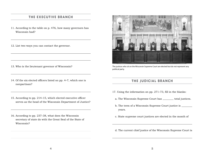# **THE EXECUTIVE BRANCH**

- 11. According to the table on p. 476, how many governors has Wisconsin had?
- 12. List two ways you can contact the governor.

- 13. Who is the lieutenant governor of Wisconsin?
- 14. Of the six elected officers listed on pp. 4–7, which one is nonpartisan?
- 15. According to pp. 214–15, which elected executive officer serves as the head of the Wisconsin Department of Justice?
- 16. According to pp. 237–38, what does the Wisconsin secretary of state do with the Great Seal of the State of Wisconsin?



The justices who sit on the Wisconsin Supreme Court are elected but do not represent any political party.

# **THE JUDICIAL BRANCH**

- 17. Using the information on pp. 271–73, fill in the blanks:
	- a. The Wisconsin Supreme Court has \_\_\_\_\_\_ total justices.
	- b. The term of a Wisconsin Supreme Court justice is years.
	- c. State supreme court justices are elected in the month of

d. The current chief justice of the Wisconsin Supreme Court is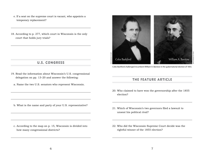- e. If a seat on the supreme court is vacant, who appoints a temporary replacement?
- 18. According to p. 277, which court in Wisconsin is the only court that holds jury trials?

# **U.S. CONGRESS**

- 19. Read the information about Wisconsin's U.S. congressional delegation on pp. 13–20 and answer the following:
	- a. Name the two U.S. senators who represent Wisconsin.

b. What is the name and party of your U.S. representative?

c. According to the map on p. 15, Wisconsin is divided into how many congressional districts?



Coles Bashford challenged incumbent William A. Barstow in the gubernatorial election of 1855.

# **THE FEATURE ARTICLE**

- 20. Who claimed to have won the governorship after the 1855 election?
- 21. Which of Wisconsin's two governors filed a lawsuit to unseat his political rival?
- 22. Who did the Wisconsin Supreme Court decide was the rightful winner of the 1855 election?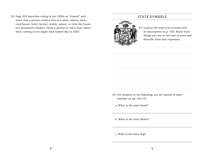23. Page 302 describes voting in the 1850s as "chaotic" and notes that a person could a vote at a store, saloon, barn, courthouse, hotel, factory, stable, saloon, or even the house of a prominent resident. Draw a picture or tell a story about what casting a vote might have looked like in 1855.

# **STATE SYMBOLS**



24. Look at the state coat of arms and its description on p. 430. Name three things you see in the coat of arms and describe what they represent.

- 25. For answers to the following, see the spread of state symbols on pp. 432–35.
	- a. What is the state fossil?

b. What is the state flower?

c. What is the state dog?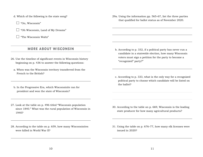- d. Which of the following is the state song?
	- $\Box$  "On, Wisconsin"
	- $\Box$  "Oh Wisconsin, Land of My Dreams"
	- $\Box$  "The Wisconsin Waltz"

## **MORE ABOUT WISCONSIN**

- 26. Use the timeline of significant events in Wisconsin history beginning on p. 436 to answer the following questions:
	- a. When was the Wisconsin territory transferred from the French to the British?
	- b. In the Progressive Era, which Wisconsinite ran for president and won the state of Wisconsin?
- 27. Look at the table on p. 496 titled "Wisconsin population since 1840." What was the rural population of Wisconsin in 1940?
- 28. According to the table on p. 659, how many Wisconsinites were killed in World War II?

29a. Using the information pp. 565–67, list the three parties that qualified for ballot status as of November 2020.

- b. According to p. 332, if a political party has never run a candidate in a statewide election, how many Wisconsin voters must sign a petition for the party to become a "recognized" party?"
- c. According to p. 333, what is the only way for a recognized political party to choose which candidate will be listed on the ballot?

- 30. According to the table on p. 669, Wisconsin is the leading state producer for how many agricultural products?
- 31. Using the table on p. 676–77, how many elk licenses were issued in 2020?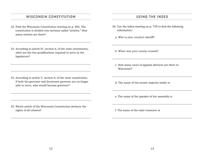## **WISCONSIN CONSTITUTION**

- 32. Find the Wisconsin Constitution starting on p. 692. The constitution is divided into sections called "articles." How many articles are there?
- 33. According to article IV, section 6, of the state constitution, what are the two qualifications required to serve in the legislature?

34. According to article V, section 8, of the state constitution, if both the governor and lieutenant governor are no longer able to serve, who would become governor?

35. Which article of the Wisconsin Constitution declares the rights of all citizens?

## **USING THE INDEX**

- 36. Use the index starting on p. 729 to find the following information:
	- a. Who is your county's sheriff?
	- b. When was your county created?
	- c. How many court of appeals districts are there in Wisconsin?
	- d. The name of the senate majority leader is
	- e. The name of the speaker of the assembly is
	- f. The name of the state treasurer is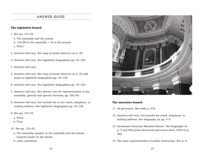# **ANSWER GUIDE**

## **The legislative branch**

1. See pp. 131–32.

- a. The assembly and the senate
- b. 132 (99 in the assembly  $+33$  in the senate)
- c. Three
- 2. Answers will vary. See map of senate districts on p. 20.
- 3. Answers will vary. See legislative biographies pp. 24–126.
- 4. Answers will vary.
- 5. Answers will vary. See map of senate districts on p. 22 and maps in legislative biographies pp. 24–126.
- 6. Answers will vary. See legislative biographies pp. 24–126.
- 7. Answers will vary. See district vote for representatives to the assembly, general and special elections, pp. 582–85.
- 8. Answers will vary, but include his or her email, telephone, or mailing address. See legislative biographies pp. 24–126.
- 9. See pp. 137–42.
	- a. False
	- b. True
- 10. See pp. 133–35.
	- a. The assembly speaker in the assembly and the senate majority leader in the senate
	- b. Joint committee



#### **The executive branch**

- 11. 46 governors. See table p. 476.
- 12. Answers will vary, but include his email, telephone, or mailing address. See biography on pp. 4–5.
- 13. Lieutenant Governor Mandela Barnes. See biography on p. 5 and Wisconsin lieutenant governors since 1848 on p. 460.
- 14. The state superintendent of public instruction. See p. 6.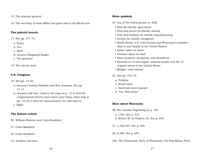#### 15. The attorney general

16. The secretary of state affixes the great seal to all official acts.

## **The judicial branch**

17. See pp. 271–73.

- a. Seven
- b. Ten
- c. April
- d. Annette Kingsland Ziegler
- e. The governor
- 18. The circuit court

#### **U.S. Congress**

- 19. See pp. 13–20.
	- a. Senators Tammy Baldwin and Ron Johnson. See pp. 13–14.
	- b. Answers will vary. Look at the map on p. 15 to find the congressional district that covers your home, then look at pp. 15–20 to find the representative for that district. c. Eight

## **The feature article**

- 20. William Barstow and Coles Bashford
- 21. Coles Bashford
- 22. Coles Bashford
- 23. Answers will vary.

#### **State symbols**

- 24. Any of the following (see p. 430):
	- Plow (in shield): agriculture
	- Pick and shovel (in shield): mining
	- Arm and hammer (in shield): manufacturing
	- Anchor (in shield): navigation
	- Small shield: U.S. coat of arms and Wisconsin's membership in and loyalty to the United States
	- Sailor: labor on water
	- Yeoman: labor on land
	- Horn of plenty: prosperity and abundance
	- Pyramid of 13 lead ingots: mineral wealth and the 13 original states of the United States
	- Badger: state animal
- 25. See pp. 432–35.
	- a. Trilobite
	- b. Wood violet
	- c. American water spaniel
	- d. "On, Wisconsin"

#### **More about Wisconsin**

- 26. See timeline beginning on p. 436.
	- a. 1763. See p. 437.
	- b. Robert M. La Follette, Sr. See p. 445.
- 27. 1,458,443. See p. 496.
- 28. 8,390. See p. 659.
- 29a. The Democratic Party of Wisconsin; the Republican Party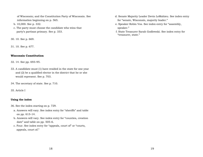of Wisconsin; and the Constitution Party of Wisconsin. See information beginning on p. 565.

- b. 10,000. See p. 332.
- c. The party must choose the candidate who wins that party's partisan primary. See p. 333.
- 30. 10. See p. 669.

31. 10. See p. 677.

## **Wisconsin Constitution**

- 32. 14. See pp. 693–95.
- 33. A candidate must (1) have resided in the state for one year and (2) be a qualified elector in the district that he or she would represent. See p. 703.
- 34. The secretary of state. See p. 710.
- 35. Article I

## **Using the index**

- 36. See the index starting on p. 729.
	- a. Answers will vary. See index entry for "sheriffs" and table on pp. 613–14.
	- b. Answers will vary. See index entry for "counties, creation date" and table on pp. 505–6.
	- c. Four. See index entry for "appeals, court of" or "courts, appeals, court of."
- d. Senate Majority Leader Devin LeMahieu. See index entry for "senate, Wisconsin, majority leader."
- e. Speaker Robin Vos. See index entry for "assembly, speaker."
- f. State Treasurer Sarah Godlewski. See index entry for "treasurer, state."